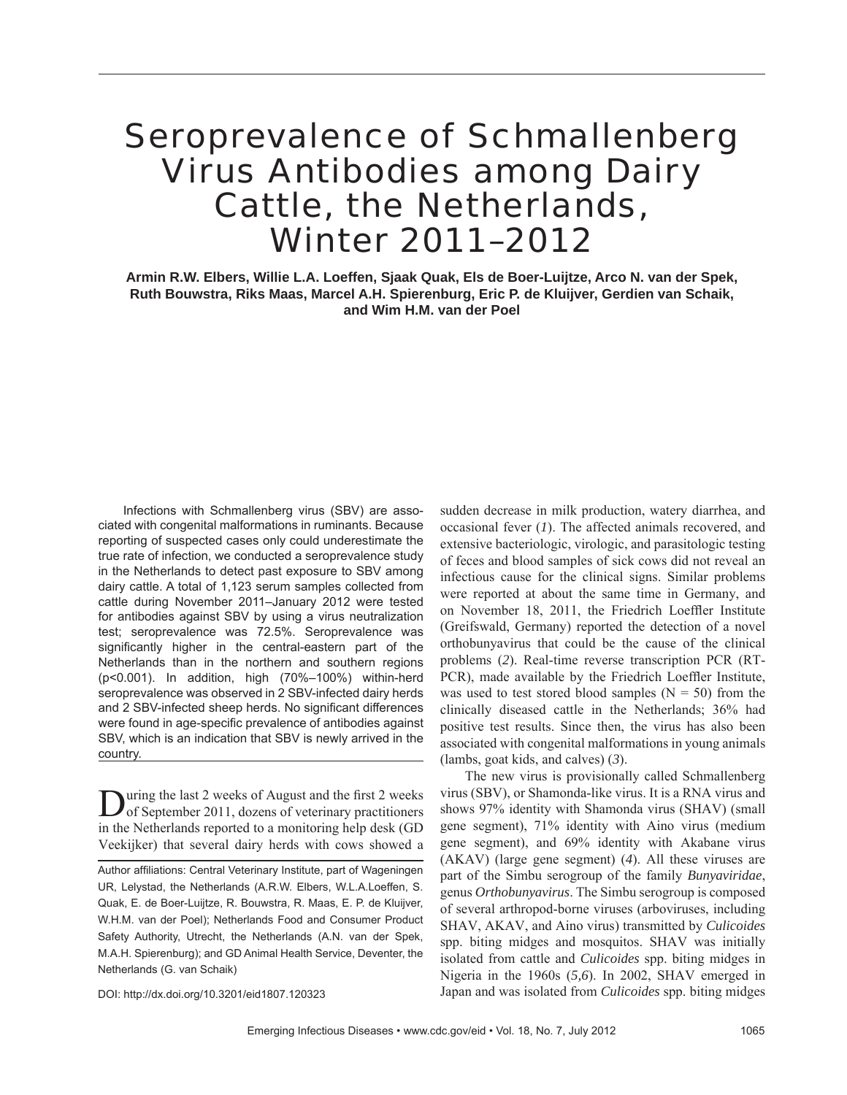# Seroprevalence of Schmallenberg Virus Antibodies among Dairy Cattle, the Netherlands, Winter 2011–2012

**Armin R.W. Elbers, Willie L.A. Loeffen, Sjaak Quak, Els de Boer-Luijtze, Arco N. van der Spek, Ruth Bouwstra, Riks Maas, Marcel A.H. Spierenburg, Eric P. de Kluijver, Gerdien van Schaik, and Wim H.M. van der Poel**

Infections with Schmallenberg virus (SBV) are associated with congenital malformations in ruminants. Because reporting of suspected cases only could underestimate the true rate of infection, we conducted a seroprevalence study in the Netherlands to detect past exposure to SBV among dairy cattle. A total of 1,123 serum samples collected from cattle during November 2011–January 2012 were tested for antibodies against SBV by using a virus neutralization test; seroprevalence was 72.5%. Seroprevalence was significantly higher in the central-eastern part of the Netherlands than in the northern and southern regions (p<0.001). In addition, high (70%–100%) within-herd seroprevalence was observed in 2 SBV-infected dairy herds and 2 SBV-infected sheep herds. No significant differences were found in age-specific prevalence of antibodies against SBV, which is an indication that SBV is newly arrived in the country.

**D**uring the last 2 weeks of August and the first 2 weeks of September 2011, dozens of veterinary practitioners in the Netherlands reported to a monitoring help desk (GD Veekijker) that several dairy herds with cows showed a

sudden decrease in milk production, watery diarrhea, and occasional fever (*1*). The affected animals recovered, and extensive bacteriologic, virologic, and parasitologic testing of feces and blood samples of sick cows did not reveal an infectious cause for the clinical signs. Similar problems were reported at about the same time in Germany, and on November 18, 2011, the Friedrich Loeffler Institute (Greifswald, Germany) reported the detection of a novel orthobunyavirus that could be the cause of the clinical problems (*2*). Real-time reverse transcription PCR (RT-PCR), made available by the Friedrich Loeffler Institute, was used to test stored blood samples  $(N = 50)$  from the clinically diseased cattle in the Netherlands; 36% had positive test results. Since then, the virus has also been associated with congenital malformations in young animals (lambs, goat kids, and calves) (*3*).

The new virus is provisionally called Schmallenberg virus (SBV), or Shamonda-like virus. It is a RNA virus and shows 97% identity with Shamonda virus (SHAV) (small gene segment), 71% identity with Aino virus (medium gene segment), and 69% identity with Akabane virus (AKAV) (large gene segment) (*4*). All these viruses are part of the Simbu serogroup of the family *Bunyaviridae*, genus *Orthobunyavirus*. The Simbu serogroup is composed of several arthropod-borne viruses (arboviruses, including SHAV, AKAV, and Aino virus) transmitted by *Culicoides* spp. biting midges and mosquitos. SHAV was initially isolated from cattle and *Culicoides* spp. biting midges in Nigeria in the 1960s (*5,6*). In 2002, SHAV emerged in Japan and was isolated from *Culicoides* spp. biting midges

DOI: http://dx.doi.org/10.3201/eid1807.120323

Author affiliations: Central Veterinary Institute, part of Wageningen UR, Lelystad, the Netherlands (A.R.W. Elbers, W.L.A.Loeffen, S. Quak, E. de Boer-Luijtze, R. Bouwstra, R. Maas, E. P. de Kluijver, W.H.M. van der Poel); Netherlands Food and Consumer Product Safety Authority, Utrecht, the Netherlands (A.N. van der Spek, M.A.H. Spierenburg); and GD Animal Health Service, Deventer, the Netherlands (G. van Schaik)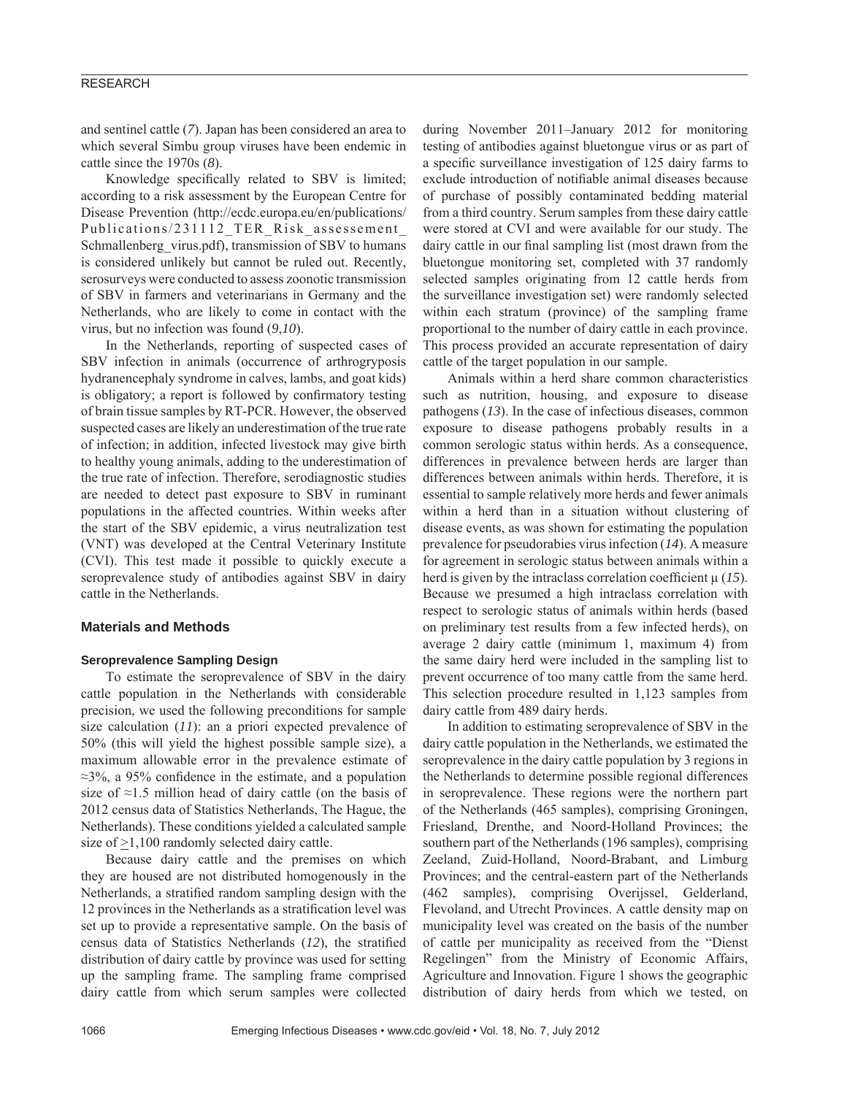# RESEARCH

and sentinel cattle (*7*). Japan has been considered an area to which several Simbu group viruses have been endemic in cattle since the 1970s (*8*).

Knowledge specifically related to SBV is limited; according to a risk assessment by the European Centre for Disease Prevention (http://ecdc.europa.eu/en/publications/ Publications/231112 TER Risk assessement Schmallenberg\_virus.pdf), transmission of SBV to humans is considered unlikely but cannot be ruled out. Recently, serosurveys were conducted to assess zoonotic transmission of SBV in farmers and veterinarians in Germany and the Netherlands, who are likely to come in contact with the virus, but no infection was found (*9*,*10*).

In the Netherlands, reporting of suspected cases of SBV infection in animals (occurrence of arthrogryposis hydranencephaly syndrome in calves, lambs, and goat kids) is obligatory; a report is followed by confirmatory testing of brain tissue samples by RT-PCR. However, the observed suspected cases are likely an underestimation of the true rate of infection; in addition, infected livestock may give birth to healthy young animals, adding to the underestimation of the true rate of infection. Therefore, serodiagnostic studies are needed to detect past exposure to SBV in ruminant populations in the affected countries. Within weeks after the start of the SBV epidemic, a virus neutralization test (VNT) was developed at the Central Veterinary Institute (CVI). This test made it possible to quickly execute a seroprevalence study of antibodies against SBV in dairy cattle in the Netherlands.

# **Materials and Methods**

## **Seroprevalence Sampling Design**

To estimate the seroprevalence of SBV in the dairy cattle population in the Netherlands with considerable precision, we used the following preconditions for sample size calculation (*11*): an a priori expected prevalence of 50% (this will yield the highest possible sample size), a maximum allowable error in the prevalence estimate of  $\approx$ 3%, a 95% confidence in the estimate, and a population size of ≈1.5 million head of dairy cattle (on the basis of 2012 census data of Statistics Netherlands, The Hague, the Netherlands). These conditions yielded a calculated sample size of >1,100 randomly selected dairy cattle.

Because dairy cattle and the premises on which they are housed are not distributed homogenously in the Netherlands, a stratified random sampling design with the 12 provinces in the Netherlands as a stratification level was set up to provide a representative sample. On the basis of census data of Statistics Netherlands (12), the stratified distribution of dairy cattle by province was used for setting up the sampling frame. The sampling frame comprised dairy cattle from which serum samples were collected

during November 2011–January 2012 for monitoring testing of antibodies against bluetongue virus or as part of a specific surveillance investigation of 125 dairy farms to exclude introduction of notifiable animal diseases because of purchase of possibly contaminated bedding material from a third country. Serum samples from these dairy cattle were stored at CVI and were available for our study. The dairy cattle in our final sampling list (most drawn from the bluetongue monitoring set, completed with 37 randomly selected samples originating from 12 cattle herds from the surveillance investigation set) were randomly selected within each stratum (province) of the sampling frame proportional to the number of dairy cattle in each province. This process provided an accurate representation of dairy cattle of the target population in our sample.

Animals within a herd share common characteristics such as nutrition, housing, and exposure to disease pathogens (*13*). In the case of infectious diseases, common exposure to disease pathogens probably results in a common serologic status within herds. As a consequence, differences in prevalence between herds are larger than differences between animals within herds. Therefore, it is essential to sample relatively more herds and fewer animals within a herd than in a situation without clustering of disease events, as was shown for estimating the population prevalence for pseudorabies virus infection (*14*). A measure for agreement in serologic status between animals within a herd is given by the intraclass correlation coefficient  $\mu$  (15). Because we presumed a high intraclass correlation with respect to serologic status of animals within herds (based on preliminary test results from a few infected herds), on average 2 dairy cattle (minimum 1, maximum 4) from the same dairy herd were included in the sampling list to prevent occurrence of too many cattle from the same herd. This selection procedure resulted in 1,123 samples from dairy cattle from 489 dairy herds.

In addition to estimating seroprevalence of SBV in the dairy cattle population in the Netherlands, we estimated the seroprevalence in the dairy cattle population by 3 regions in the Netherlands to determine possible regional differences in seroprevalence. These regions were the northern part of the Netherlands (465 samples), comprising Groningen, Friesland, Drenthe, and Noord-Holland Provinces; the southern part of the Netherlands (196 samples), comprising Zeeland, Zuid-Holland, Noord-Brabant, and Limburg Provinces; and the central-eastern part of the Netherlands (462 samples), comprising Overijssel, Gelderland, Flevoland, and Utrecht Provinces. A cattle density map on municipality level was created on the basis of the number of cattle per municipality as received from the "Dienst Regelingen" from the Ministry of Economic Affairs, Agriculture and Innovation. Figure 1 shows the geographic distribution of dairy herds from which we tested, on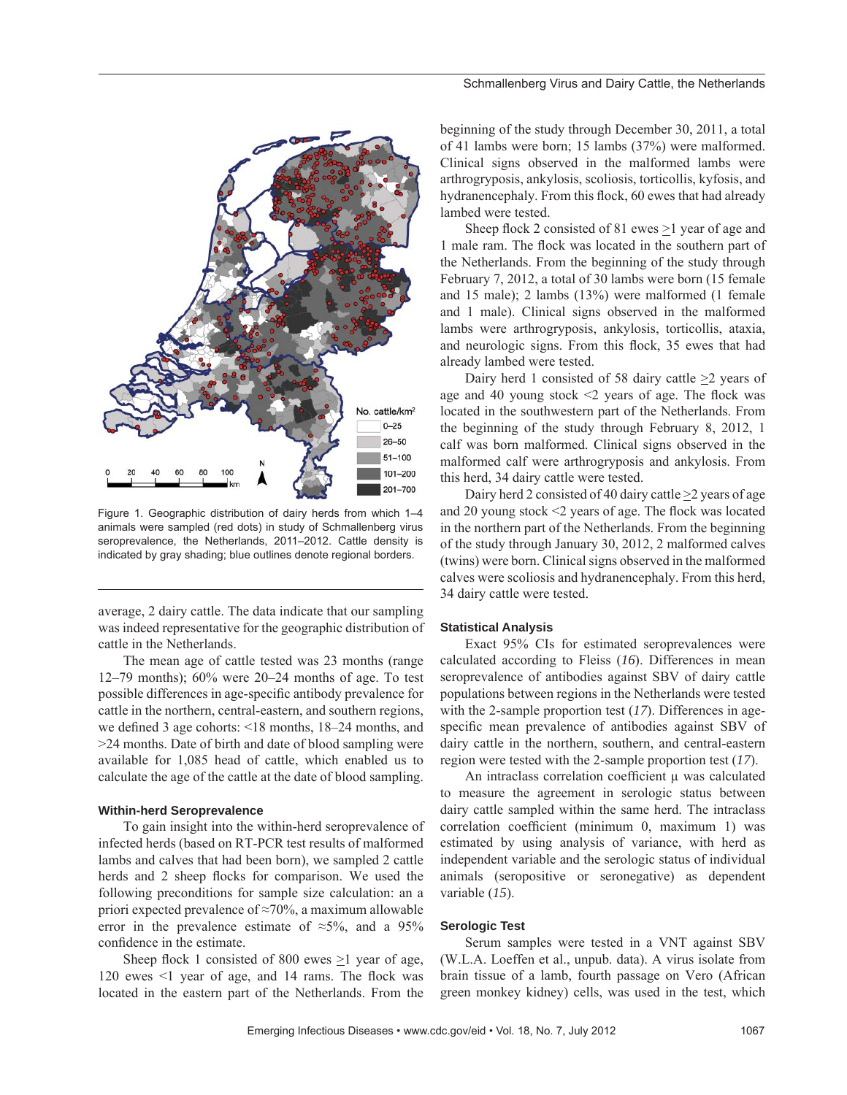

Figure 1. Geographic distribution of dairy herds from which 1–4 animals were sampled (red dots) in study of Schmallenberg virus seroprevalence, the Netherlands, 2011–2012. Cattle density is indicated by gray shading; blue outlines denote regional borders.

average, 2 dairy cattle. The data indicate that our sampling was indeed representative for the geographic distribution of cattle in the Netherlands.

The mean age of cattle tested was 23 months (range 12–79 months); 60% were 20–24 months of age. To test possible differences in age-specific antibody prevalence for cattle in the northern, central-eastern, and southern regions, we defined 3 age cohorts:  $\leq 18$  months, 18–24 months, and >24 months. Date of birth and date of blood sampling were available for 1,085 head of cattle, which enabled us to calculate the age of the cattle at the date of blood sampling.

#### **Within-herd Seroprevalence**

To gain insight into the within-herd seroprevalence of infected herds (based on RT-PCR test results of malformed lambs and calves that had been born), we sampled 2 cattle herds and 2 sheep flocks for comparison. We used the following preconditions for sample size calculation: an a priori expected prevalence of ≈70%, a maximum allowable error in the prevalence estimate of  $\approx 5\%$ , and a 95% confidence in the estimate.

Sheep flock 1 consisted of 800 ewes  $\geq$ 1 year of age, 120 ewes  $\leq$ 1 year of age, and 14 rams. The flock was located in the eastern part of the Netherlands. From the beginning of the study through December 30, 2011, a total of 41 lambs were born; 15 lambs (37%) were malformed. Clinical signs observed in the malformed lambs were arthrogryposis, ankylosis, scoliosis, torticollis, kyfosis, and hydranencephaly. From this flock, 60 ewes that had already lambed were tested.

Sheep flock 2 consisted of 81 ewes  $\geq$ 1 year of age and 1 male ram. The flock was located in the southern part of the Netherlands. From the beginning of the study through February 7, 2012, a total of 30 lambs were born (15 female and 15 male); 2 lambs (13%) were malformed (1 female and 1 male). Clinical signs observed in the malformed lambs were arthrogryposis, ankylosis, torticollis, ataxia, and neurologic signs. From this flock, 35 ewes that had already lambed were tested.

Dairy herd 1 consisted of 58 dairy cattle  $\geq$ 2 years of age and 40 young stock  $\leq$  years of age. The flock was located in the southwestern part of the Netherlands. From the beginning of the study through February 8, 2012, 1 calf was born malformed. Clinical signs observed in the malformed calf were arthrogryposis and ankylosis. From this herd, 34 dairy cattle were tested.

Dairy herd 2 consisted of 40 dairy cattle  $\geq$  years of age and 20 young stock  $\leq$  years of age. The flock was located in the northern part of the Netherlands. From the beginning of the study through January 30, 2012, 2 malformed calves (twins) were born. Clinical signs observed in the malformed calves were scoliosis and hydranencephaly. From this herd, 34 dairy cattle were tested.

### **Statistical Analysis**

Exact 95% CIs for estimated seroprevalences were calculated according to Fleiss (*16*). Differences in mean seroprevalence of antibodies against SBV of dairy cattle populations between regions in the Netherlands were tested with the 2-sample proportion test (*17*). Differences in agespecific mean prevalence of antibodies against SBV of dairy cattle in the northern, southern, and central-eastern region were tested with the 2-sample proportion test (*17*).

An intraclass correlation coefficient μ was calculated to measure the agreement in serologic status between dairy cattle sampled within the same herd. The intraclass correlation coefficient (minimum 0, maximum 1) was estimated by using analysis of variance, with herd as independent variable and the serologic status of individual animals (seropositive or seronegative) as dependent variable (*15*).

## **Serologic Test**

Serum samples were tested in a VNT against SBV (W.L.A. Loeffen et al., unpub. data). A virus isolate from brain tissue of a lamb, fourth passage on Vero (African green monkey kidney) cells, was used in the test, which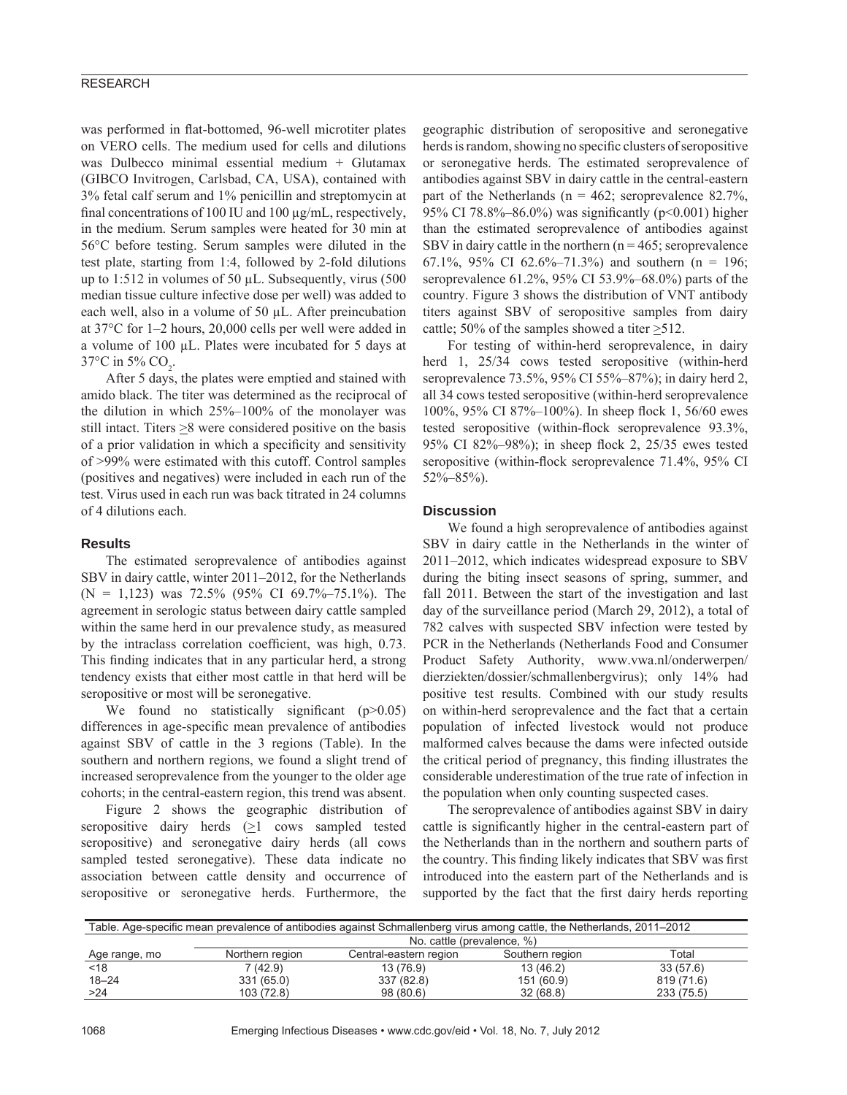# RESEARCH

was performed in flat-bottomed, 96-well microtiter plates on VERO cells. The medium used for cells and dilutions was Dulbecco minimal essential medium + Glutamax (GIBCO Invitrogen, Carlsbad, CA, USA), contained with 3% fetal calf serum and 1% penicillin and streptomycin at final concentrations of 100 IU and 100  $\mu$ g/mL, respectively, in the medium. Serum samples were heated for 30 min at 56°C before testing. Serum samples were diluted in the test plate, starting from 1:4, followed by 2-fold dilutions up to 1:512 in volumes of 50 μL. Subsequently, virus (500 median tissue culture infective dose per well) was added to each well, also in a volume of 50 μL. After preincubation at 37°C for 1–2 hours, 20,000 cells per well were added in a volume of 100 μL. Plates were incubated for 5 days at 37°C in 5% CO<sub>2</sub>.

After 5 days, the plates were emptied and stained with amido black. The titer was determined as the reciprocal of the dilution in which 25%–100% of the monolayer was still intact. Titers  $\geq$ 8 were considered positive on the basis of a prior validation in which a specificity and sensitivity of >99% were estimated with this cutoff. Control samples (positives and negatives) were included in each run of the test. Virus used in each run was back titrated in 24 columns of 4 dilutions each.

## **Results**

The estimated seroprevalence of antibodies against SBV in dairy cattle, winter 2011–2012, for the Netherlands  $(N = 1,123)$  was 72.5% (95% CI 69.7%–75.1%). The agreement in serologic status between dairy cattle sampled within the same herd in our prevalence study, as measured by the intraclass correlation coefficient, was high, 0.73. This finding indicates that in any particular herd, a strong tendency exists that either most cattle in that herd will be seropositive or most will be seronegative.

We found no statistically significant  $(p>0.05)$ differences in age-specific mean prevalence of antibodies against SBV of cattle in the 3 regions (Table). In the southern and northern regions, we found a slight trend of increased seroprevalence from the younger to the older age cohorts; in the central-eastern region, this trend was absent.

Figure 2 shows the geographic distribution of seropositive dairy herds  $(\geq 1$  cows sampled tested seropositive) and seronegative dairy herds (all cows sampled tested seronegative). These data indicate no association between cattle density and occurrence of seropositive or seronegative herds. Furthermore, the

geographic distribution of seropositive and seronegative herds is random, showing no specific clusters of seropositive or seronegative herds. The estimated seroprevalence of antibodies against SBV in dairy cattle in the central-eastern part of the Netherlands ( $n = 462$ ; seroprevalence 82.7%, 95% CI 78.8%–86.0%) was significantly ( $p<0.001$ ) higher than the estimated seroprevalence of antibodies against SBV in dairy cattle in the northern  $(n = 465)$ ; seroprevalence 67.1%, 95% CI 62.6%–71.3%) and southern (n = 196; seroprevalence 61.2%, 95% CI 53.9%–68.0%) parts of the country. Figure 3 shows the distribution of VNT antibody titers against SBV of seropositive samples from dairy cattle; 50% of the samples showed a titer >512.

For testing of within-herd seroprevalence, in dairy herd 1, 25/34 cows tested seropositive (within-herd seroprevalence 73.5%, 95% CI 55%–87%); in dairy herd 2, all 34 cows tested seropositive (within-herd seroprevalence 100%, 95% CI 87%–100%). In sheep flock 1, 56/60 ewes tested seropositive (within-flock seroprevalence  $93.3\%$ , 95% CI 82%–98%); in sheep flock 2, 25/35 ewes tested seropositive (within-flock seroprevalence 71.4%, 95% CI 52%–85%).

# **Discussion**

We found a high seroprevalence of antibodies against SBV in dairy cattle in the Netherlands in the winter of 2011–2012, which indicates widespread exposure to SBV during the biting insect seasons of spring, summer, and fall 2011. Between the start of the investigation and last day of the surveillance period (March 29, 2012), a total of 782 calves with suspected SBV infection were tested by PCR in the Netherlands (Netherlands Food and Consumer Product Safety Authority, www.vwa.nl/onderwerpen/ dierziekten/dossier/schmallenbergvirus); only 14% had positive test results. Combined with our study results on within-herd seroprevalence and the fact that a certain population of infected livestock would not produce malformed calves because the dams were infected outside the critical period of pregnancy, this finding illustrates the considerable underestimation of the true rate of infection in the population when only counting suspected cases.

The seroprevalence of antibodies against SBV in dairy cattle is significantly higher in the central-eastern part of the Netherlands than in the northern and southern parts of the country. This finding likely indicates that SBV was first introduced into the eastern part of the Netherlands and is supported by the fact that the first dairy herds reporting

| Table. Age-specific mean prevalence of antibodies against Schmallenberg virus among cattle, the Netherlands, 2011–2012 |                            |                        |                 |            |
|------------------------------------------------------------------------------------------------------------------------|----------------------------|------------------------|-----------------|------------|
|                                                                                                                        | No. cattle (prevalence, %) |                        |                 |            |
| Age range, mo                                                                                                          | Northern region            | Central-eastern region | Southern region | Total      |
| < 18                                                                                                                   | 7(42.9)                    | 13 (76.9)              | 13 (46.2)       | 33(57.6)   |
| $18 - 24$                                                                                                              | 331 (65.0)                 | 337 (82.8)             | 151 (60.9)      | 819 (71.6) |
| >24                                                                                                                    | 103 (72.8)                 | 98 (80.6)              | 32(68.8)        | 233 (75.5) |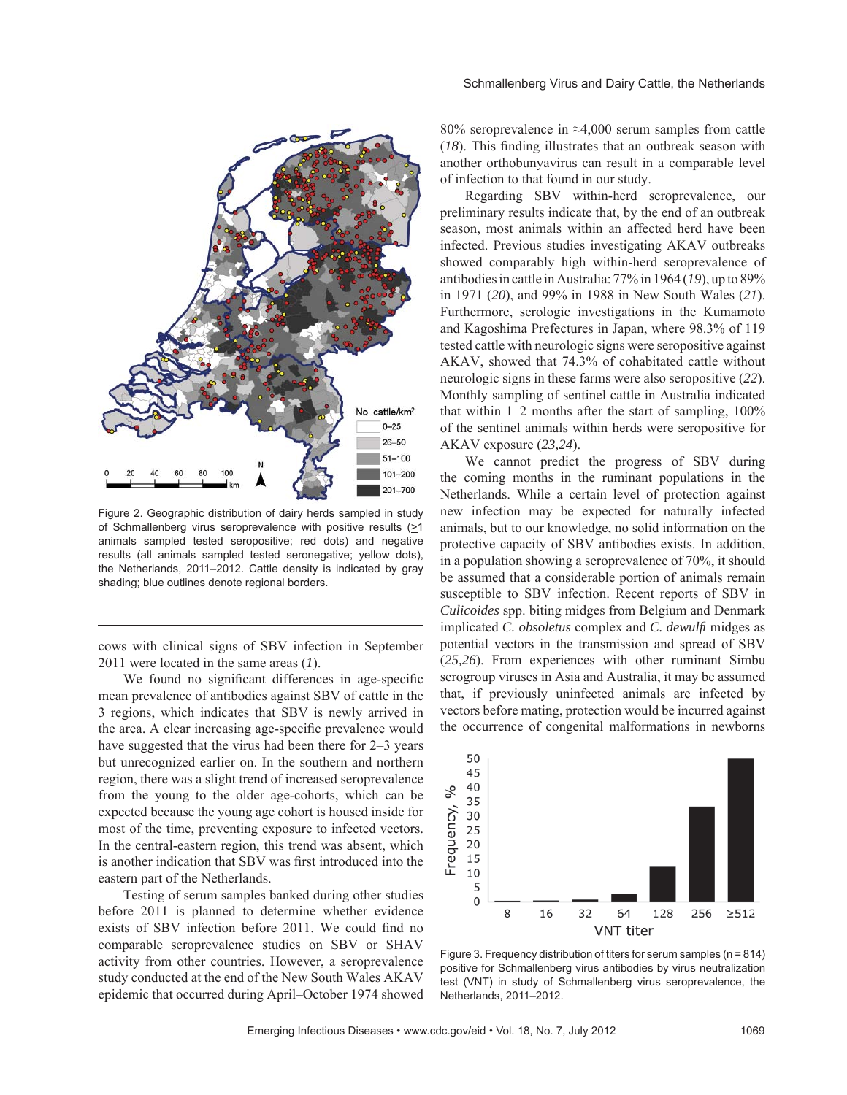

Figure 2. Geographic distribution of dairy herds sampled in study of Schmallenberg virus seroprevalence with positive results (>1 animals sampled tested seropositive; red dots) and negative results (all animals sampled tested seronegative; yellow dots), the Netherlands, 2011–2012. Cattle density is indicated by gray shading; blue outlines denote regional borders.

cows with clinical signs of SBV infection in September 2011 were located in the same areas (*1*).

We found no significant differences in age-specific mean prevalence of antibodies against SBV of cattle in the 3 regions, which indicates that SBV is newly arrived in the area. A clear increasing age-specific prevalence would have suggested that the virus had been there for 2–3 years but unrecognized earlier on. In the southern and northern region, there was a slight trend of increased seroprevalence from the young to the older age-cohorts, which can be expected because the young age cohort is housed inside for most of the time, preventing exposure to infected vectors. In the central-eastern region, this trend was absent, which is another indication that SBV was first introduced into the eastern part of the Netherlands.

Testing of serum samples banked during other studies before 2011 is planned to determine whether evidence exists of SBV infection before 2011. We could find no comparable seroprevalence studies on SBV or SHAV activity from other countries. However, a seroprevalence study conducted at the end of the New South Wales AKAV epidemic that occurred during April–October 1974 showed 80% seroprevalence in ≈4,000 serum samples from cattle  $(18)$ . This finding illustrates that an outbreak season with another orthobunyavirus can result in a comparable level of infection to that found in our study.

Regarding SBV within-herd seroprevalence, our preliminary results indicate that, by the end of an outbreak season, most animals within an affected herd have been infected. Previous studies investigating AKAV outbreaks showed comparably high within-herd seroprevalence of antibodies in cattle in Australia: 77% in 1964 (*19*), up to 89% in 1971 (*20*), and 99% in 1988 in New South Wales (*21*). Furthermore, serologic investigations in the Kumamoto and Kagoshima Prefectures in Japan, where 98.3% of 119 tested cattle with neurologic signs were seropositive against AKAV, showed that 74.3% of cohabitated cattle without neurologic signs in these farms were also seropositive (*22*). Monthly sampling of sentinel cattle in Australia indicated that within 1–2 months after the start of sampling, 100% of the sentinel animals within herds were seropositive for AKAV exposure (*23,24*).

We cannot predict the progress of SBV during the coming months in the ruminant populations in the Netherlands. While a certain level of protection against new infection may be expected for naturally infected animals, but to our knowledge, no solid information on the protective capacity of SBV antibodies exists. In addition, in a population showing a seroprevalence of 70%, it should be assumed that a considerable portion of animals remain susceptible to SBV infection. Recent reports of SBV in *Culicoides* spp. biting midges from Belgium and Denmark implicated *C. obsoletus* complex and *C. dewulfi* midges as potential vectors in the transmission and spread of SBV (*25,26*). From experiences with other ruminant Simbu serogroup viruses in Asia and Australia, it may be assumed that, if previously uninfected animals are infected by vectors before mating, protection would be incurred against the occurrence of congenital malformations in newborns



Figure 3. Frequency distribution of titers for serum samples (n = 814) positive for Schmallenberg virus antibodies by virus neutralization test (VNT) in study of Schmallenberg virus seroprevalence, the Netherlands, 2011–2012.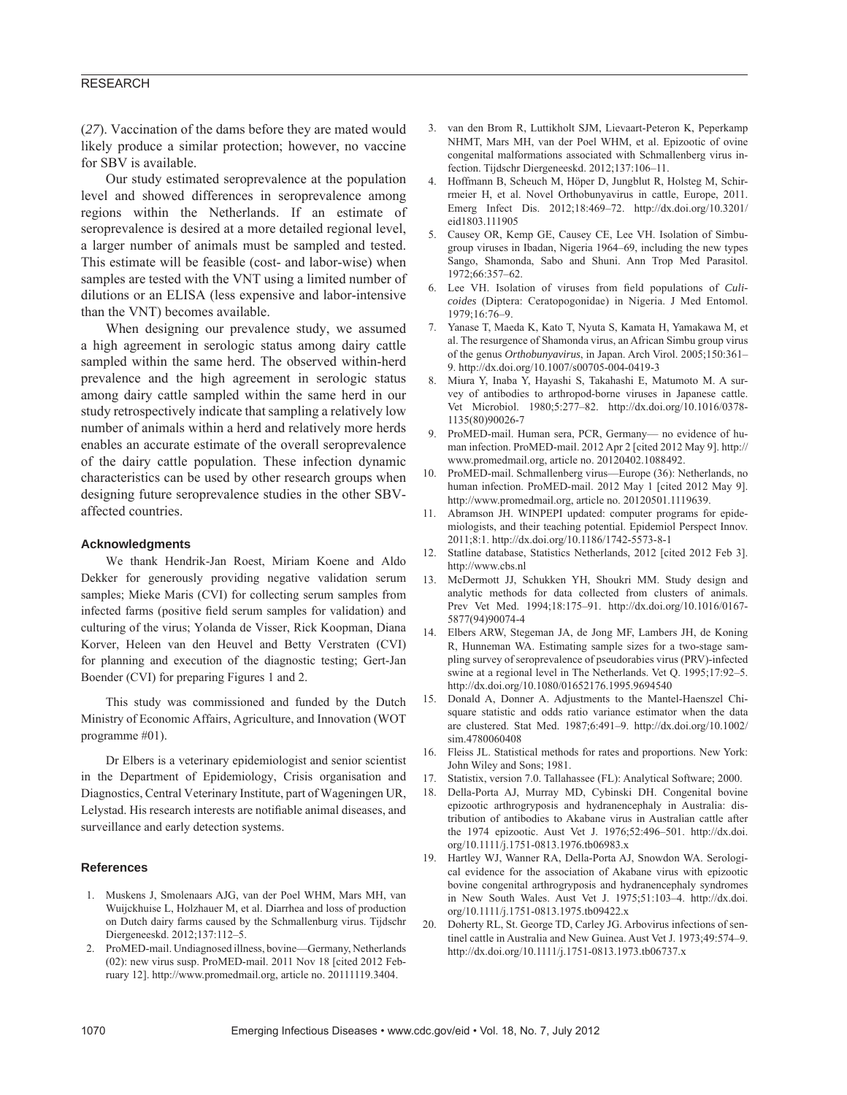# RESEARCH

(*27*). Vaccination of the dams before they are mated would likely produce a similar protection; however, no vaccine for SBV is available.

Our study estimated seroprevalence at the population level and showed differences in seroprevalence among regions within the Netherlands. If an estimate of seroprevalence is desired at a more detailed regional level, a larger number of animals must be sampled and tested. This estimate will be feasible (cost- and labor-wise) when samples are tested with the VNT using a limited number of dilutions or an ELISA (less expensive and labor-intensive than the VNT) becomes available.

When designing our prevalence study, we assumed a high agreement in serologic status among dairy cattle sampled within the same herd. The observed within-herd prevalence and the high agreement in serologic status among dairy cattle sampled within the same herd in our study retrospectively indicate that sampling a relatively low number of animals within a herd and relatively more herds enables an accurate estimate of the overall seroprevalence of the dairy cattle population. These infection dynamic characteristics can be used by other research groups when designing future seroprevalence studies in the other SBVaffected countries.

### **Acknowledgments**

We thank Hendrik-Jan Roest, Miriam Koene and Aldo Dekker for generously providing negative validation serum samples; Mieke Maris (CVI) for collecting serum samples from infected farms (positive field serum samples for validation) and culturing of the virus; Yolanda de Visser, Rick Koopman, Diana Korver, Heleen van den Heuvel and Betty Verstraten (CVI) for planning and execution of the diagnostic testing; Gert-Jan Boender (CVI) for preparing Figures 1 and 2.

This study was commissioned and funded by the Dutch Ministry of Economic Affairs, Agriculture, and Innovation (WOT programme #01).

Dr Elbers is a veterinary epidemiologist and senior scientist in the Department of Epidemiology, Crisis organisation and Diagnostics, Central Veterinary Institute, part of Wageningen UR, Lelystad. His research interests are notifiable animal diseases, and surveillance and early detection systems.

### **References**

- 1. Muskens J, Smolenaars AJG, van der Poel WHM, Mars MH, van Wuijckhuise L, Holzhauer M, et al. Diarrhea and loss of production on Dutch dairy farms caused by the Schmallenburg virus. Tijdschr Diergeneeskd. 2012;137:112–5.
- 2. ProMED-mail. Undiagnosed illness, bovine—Germany, Netherlands (02): new virus susp. ProMED-mail. 2011 Nov 18 [cited 2012 February 12]. http://www.promedmail.org, article no. 20111119.3404.
- 3. van den Brom R, Luttikholt SJM, Lievaart-Peteron K, Peperkamp NHMT, Mars MH, van der Poel WHM, et al. Epizootic of ovine congenital malformations associated with Schmallenberg virus infection. Tijdschr Diergeneeskd. 2012;137:106–11.
- 4. Hoffmann B, Scheuch M, Höper D, Jungblut R, Holsteg M, Schirrmeier H, et al. Novel Orthobunyavirus in cattle, Europe, 2011. Emerg Infect Dis. 2012;18:469–72. http://dx.doi.org/10.3201/ eid1803.111905
- 5. Causey OR, Kemp GE, Causey CE, Lee VH. Isolation of Simbugroup viruses in Ibadan, Nigeria 1964–69, including the new types Sango, Shamonda, Sabo and Shuni. Ann Trop Med Parasitol. 1972;66:357–62.
- Lee VH. Isolation of viruses from field populations of *Culicoides* (Diptera: Ceratopogonidae) in Nigeria. J Med Entomol. 1979;16:76–9.
- 7. Yanase T, Maeda K, Kato T, Nyuta S, Kamata H, Yamakawa M, et al. The resurgence of Shamonda virus, an African Simbu group virus of the genus *Orthobunyavirus*, in Japan. Arch Virol. 2005;150:361– 9. http://dx.doi.org/10.1007/s00705-004-0419-3
- 8. Miura Y, Inaba Y, Hayashi S, Takahashi E, Matumoto M. A survey of antibodies to arthropod-borne viruses in Japanese cattle. Vet Microbiol. 1980;5:277–82. http://dx.doi.org/10.1016/0378- 1135(80)90026-7
- 9. ProMED-mail. Human sera, PCR, Germany— no evidence of human infection. ProMED-mail. 2012 Apr 2 [cited 2012 May 9]. http:// www.promedmail.org, article no. 20120402.1088492.
- 10. ProMED-mail. Schmallenberg virus—Europe (36): Netherlands, no human infection. ProMED-mail. 2012 May 1 [cited 2012 May 9]. http://www.promedmail.org, article no. 20120501.1119639.
- 11. Abramson JH. WINPEPI updated: computer programs for epidemiologists, and their teaching potential. Epidemiol Perspect Innov. 2011;8:1. http://dx.doi.org/10.1186/1742-5573-8-1
- 12. Statline database, Statistics Netherlands, 2012 [cited 2012 Feb 3]. http://www.cbs.nl
- 13. McDermott JJ, Schukken YH, Shoukri MM. Study design and analytic methods for data collected from clusters of animals. Prev Vet Med. 1994;18:175–91. http://dx.doi.org/10.1016/0167- 5877(94)90074-4
- 14. Elbers ARW, Stegeman JA, de Jong MF, Lambers JH, de Koning R, Hunneman WA. Estimating sample sizes for a two-stage sampling survey of seroprevalence of pseudorabies virus (PRV)-infected swine at a regional level in The Netherlands. Vet Q. 1995;17:92–5. http://dx.doi.org/10.1080/01652176.1995.9694540
- 15. Donald A, Donner A. Adjustments to the Mantel-Haenszel Chisquare statistic and odds ratio variance estimator when the data are clustered. Stat Med. 1987;6:491–9. http://dx.doi.org/10.1002/ sim.4780060408
- 16. Fleiss JL. Statistical methods for rates and proportions. New York: John Wiley and Sons; 1981.
- 17. Statistix, version 7.0. Tallahassee (FL): Analytical Software; 2000.
- 18. Della-Porta AJ, Murray MD, Cybinski DH. Congenital bovine epizootic arthrogryposis and hydranencephaly in Australia: distribution of antibodies to Akabane virus in Australian cattle after the 1974 epizootic. Aust Vet J. 1976;52:496–501. http://dx.doi. org/10.1111/j.1751-0813.1976.tb06983.x
- 19. Hartley WJ, Wanner RA, Della-Porta AJ, Snowdon WA. Serological evidence for the association of Akabane virus with epizootic bovine congenital arthrogryposis and hydranencephaly syndromes in New South Wales. Aust Vet J. 1975;51:103–4. http://dx.doi. org/10.1111/j.1751-0813.1975.tb09422.x
- 20. Doherty RL, St. George TD, Carley JG. Arbovirus infections of sentinel cattle in Australia and New Guinea. Aust Vet J. 1973;49:574–9. http://dx.doi.org/10.1111/j.1751-0813.1973.tb06737.x